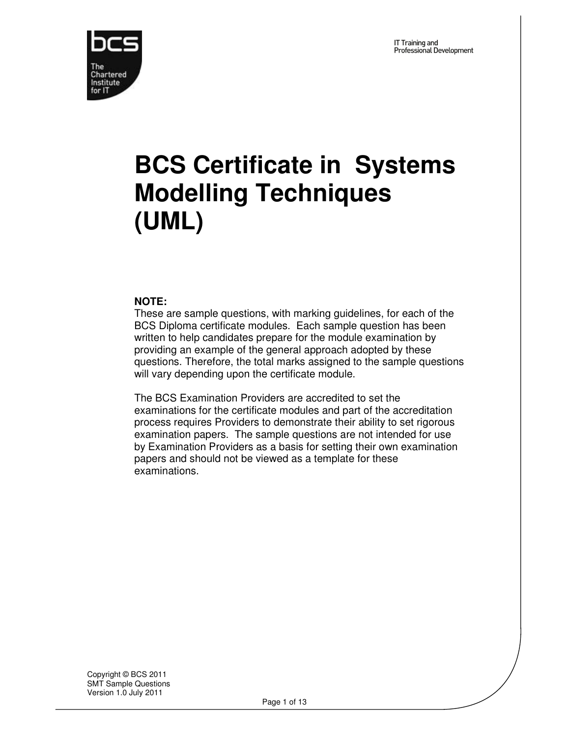

# **BCS Certificate in Systems Modelling Techniques (UML)**

#### **NOTE:**

These are sample questions, with marking guidelines, for each of the BCS Diploma certificate modules. Each sample question has been written to help candidates prepare for the module examination by providing an example of the general approach adopted by these questions. Therefore, the total marks assigned to the sample questions will vary depending upon the certificate module.

The BCS Examination Providers are accredited to set the examinations for the certificate modules and part of the accreditation process requires Providers to demonstrate their ability to set rigorous examination papers. The sample questions are not intended for use by Examination Providers as a basis for setting their own examination papers and should not be viewed as a template for these examinations.

Copyright © BCS 2011 SMT Sample Questions Version 1.0 July 2011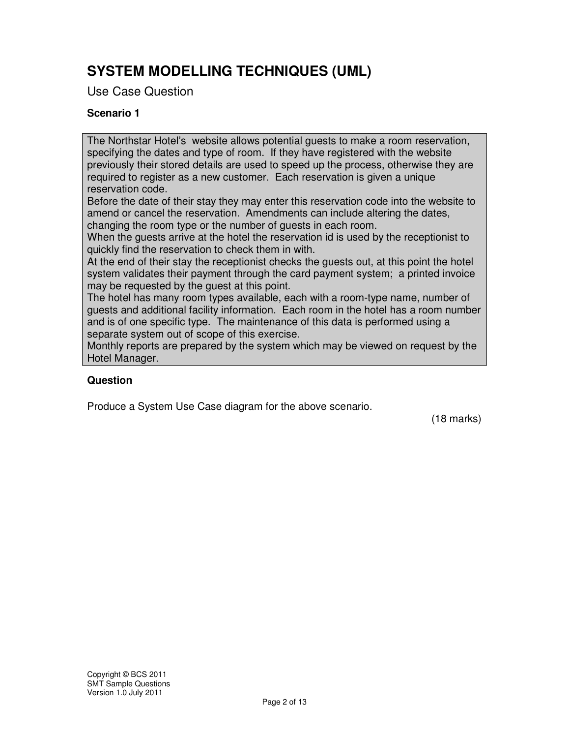# **SYSTEM MODELLING TECHNIQUES (UML)**

Use Case Question

### **Scenario 1**

The Northstar Hotel's website allows potential guests to make a room reservation, specifying the dates and type of room. If they have registered with the website previously their stored details are used to speed up the process, otherwise they are required to register as a new customer. Each reservation is given a unique reservation code.

Before the date of their stay they may enter this reservation code into the website to amend or cancel the reservation. Amendments can include altering the dates, changing the room type or the number of guests in each room.

When the guests arrive at the hotel the reservation id is used by the receptionist to quickly find the reservation to check them in with.

At the end of their stay the receptionist checks the guests out, at this point the hotel system validates their payment through the card payment system; a printed invoice may be requested by the guest at this point.

The hotel has many room types available, each with a room-type name, number of guests and additional facility information. Each room in the hotel has a room number and is of one specific type. The maintenance of this data is performed using a separate system out of scope of this exercise.

Monthly reports are prepared by the system which may be viewed on request by the Hotel Manager.

#### **Question**

Produce a System Use Case diagram for the above scenario.

(18 marks)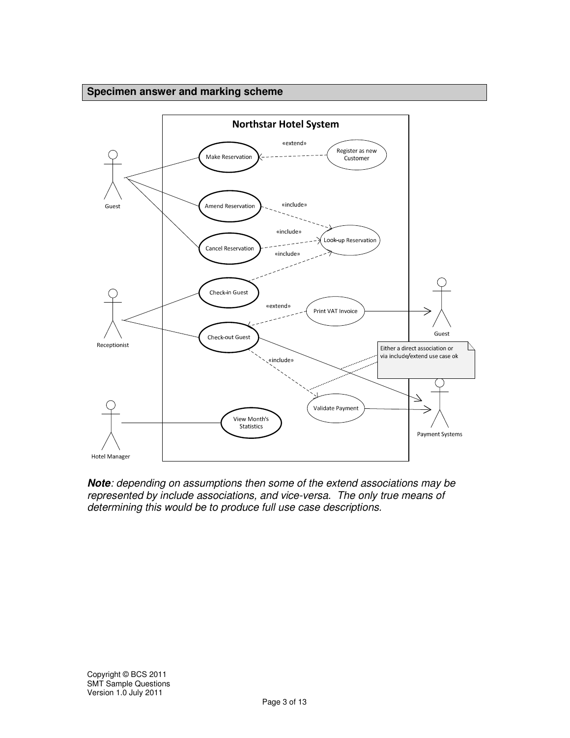#### **Specimen answer and marking scheme**



**Note**: depending on assumptions then some of the extend associations may be represented by include associations, and vice-versa. The only true means of determining this would be to produce full use case descriptions.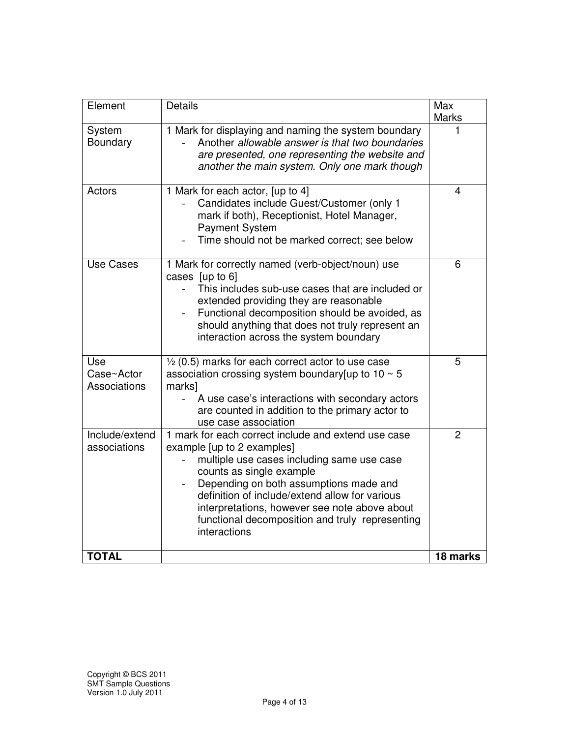| Element                           | <b>Details</b>                                                                                                                                                                                                                                                                                                                                                              | Max<br><b>Marks</b> |
|-----------------------------------|-----------------------------------------------------------------------------------------------------------------------------------------------------------------------------------------------------------------------------------------------------------------------------------------------------------------------------------------------------------------------------|---------------------|
| System<br>Boundary                | 1 Mark for displaying and naming the system boundary<br>Another allowable answer is that two boundaries<br>are presented, one representing the website and<br>another the main system. Only one mark though                                                                                                                                                                 |                     |
| Actors                            | 1 Mark for each actor, [up to 4]<br>Candidates include Guest/Customer (only 1<br>mark if both), Receptionist, Hotel Manager,<br><b>Payment System</b><br>Time should not be marked correct; see below                                                                                                                                                                       | 4                   |
| <b>Use Cases</b>                  | 1 Mark for correctly named (verb-object/noun) use<br>cases [up to 6]<br>This includes sub-use cases that are included or<br>extended providing they are reasonable<br>Functional decomposition should be avoided, as<br>should anything that does not truly represent an<br>interaction across the system boundary                                                          | 6                   |
| Use<br>Case~Actor<br>Associations | $\frac{1}{2}$ (0.5) marks for each correct actor to use case<br>association crossing system boundary [up to 10 $\sim$ 5<br>marks]<br>A use case's interactions with secondary actors<br>are counted in addition to the primary actor to<br>use case association                                                                                                             | 5                   |
| Include/extend<br>associations    | 1 mark for each correct include and extend use case<br>example [up to 2 examples]<br>multiple use cases including same use case<br>counts as single example<br>Depending on both assumptions made and<br>definition of include/extend allow for various<br>interpretations, however see note above about<br>functional decomposition and truly representing<br>interactions | $\overline{2}$      |
| <b>TOTAL</b>                      |                                                                                                                                                                                                                                                                                                                                                                             | 18 marks            |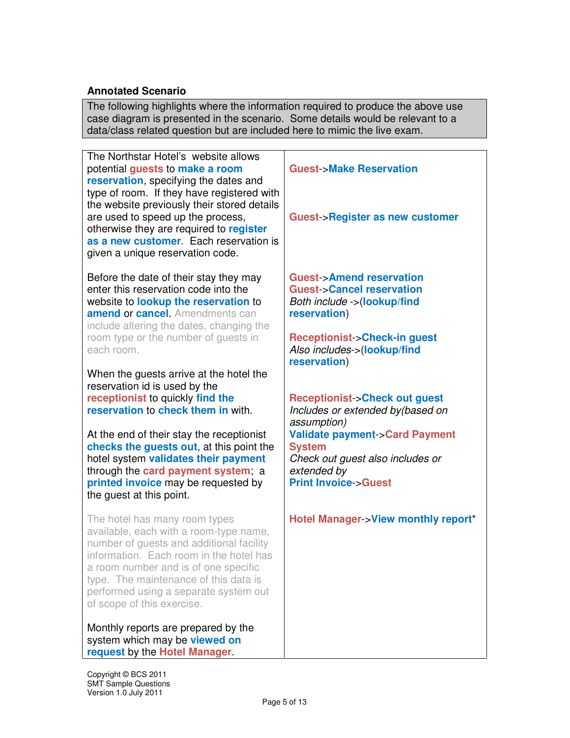#### **Annotated Scenario**

The following highlights where the information required to produce the above use case diagram is presented in the scenario. Some details would be relevant to a data/class related question but are included here to mimic the live exam.

The Northstar Hotel's website allows potential **guests** to **make a room reservation**, specifying the dates and type of room. If they have registered with the website previously their stored details are used to speed up the process, otherwise they are required to **register as a new customer**. Each reservation is given a unique reservation code.

Before the date of their stay they may enter this reservation code into the website to **lookup the reservation** to **amend** or **cancel**. Amendments can include altering the dates, changing the room type or the number of guests in each room.

When the guests arrive at the hotel the reservation id is used by the **receptionist** to quickly **find the reservation** to **check them in** with.

At the end of their stay the receptionist **checks the guests out**, at this point the hotel system **validates their payment**  through the **card payment system**; a **printed invoice** may be requested by the guest at this point.

The hotel has many room types available, each with a room-type name, number of guests and additional facility information. Each room in the hotel has a room number and is of one specific type. The maintenance of this data is performed using a separate system out of scope of this exercise.

Monthly reports are prepared by the system which may be **viewed on request** by the **Hotel Manager**.

#### **Guest**->**Make Reservation**

**Guest**->**Register as new customer**

**Guest**->**Amend reservation Guest**->**Cancel reservation** Both include ->(**lookup/find reservation**)

**Receptionist**->**Check-in guest** Also includes->(**lookup/find reservation**)

**Receptionist**->**Check out guest**

Includes or extended by(based on assumption) **Validate payment**->**Card Payment System** Check out guest also includes or extended by **Print Invoice**->**Guest**

**Hotel Manager**->**View monthly report**\*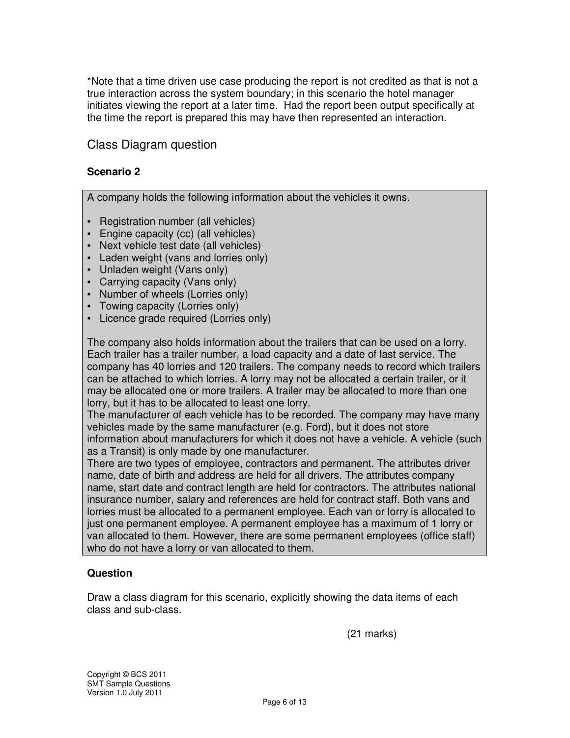\*Note that a time driven use case producing the report is not credited as that is not a true interaction across the system boundary; in this scenario the hotel manager initiates viewing the report at a later time. Had the report been output specifically at the time the report is prepared this may have then represented an interaction.

## Class Diagram question

#### **Scenario 2**

A company holds the following information about the vehicles it owns.

- Registration number (all vehicles)
- **Engine capacity (cc) (all vehicles)**
- Next vehicle test date (all vehicles)
- Laden weight (vans and lorries only)
- Unladen weight (Vans only)
- Carrying capacity (Vans only)
- Number of wheels (Lorries only)
- Towing capacity (Lorries only)
- Licence grade required (Lorries only)

The company also holds information about the trailers that can be used on a lorry. Each trailer has a trailer number, a load capacity and a date of last service. The company has 40 lorries and 120 trailers. The company needs to record which trailers can be attached to which lorries. A lorry may not be allocated a certain trailer, or it may be allocated one or more trailers. A trailer may be allocated to more than one lorry, but it has to be allocated to least one lorry.

The manufacturer of each vehicle has to be recorded. The company may have many vehicles made by the same manufacturer (e.g. Ford), but it does not store information about manufacturers for which it does not have a vehicle. A vehicle (such as a Transit) is only made by one manufacturer.

There are two types of employee, contractors and permanent. The attributes driver name, date of birth and address are held for all drivers. The attributes company name, start date and contract length are held for contractors. The attributes national insurance number, salary and references are held for contract staff. Both vans and lorries must be allocated to a permanent employee. Each van or lorry is allocated to just one permanent employee. A permanent employee has a maximum of 1 lorry or van allocated to them. However, there are some permanent employees (office staff) who do not have a lorry or van allocated to them.

#### **Question**

Draw a class diagram for this scenario, explicitly showing the data items of each class and sub-class.

(21 marks)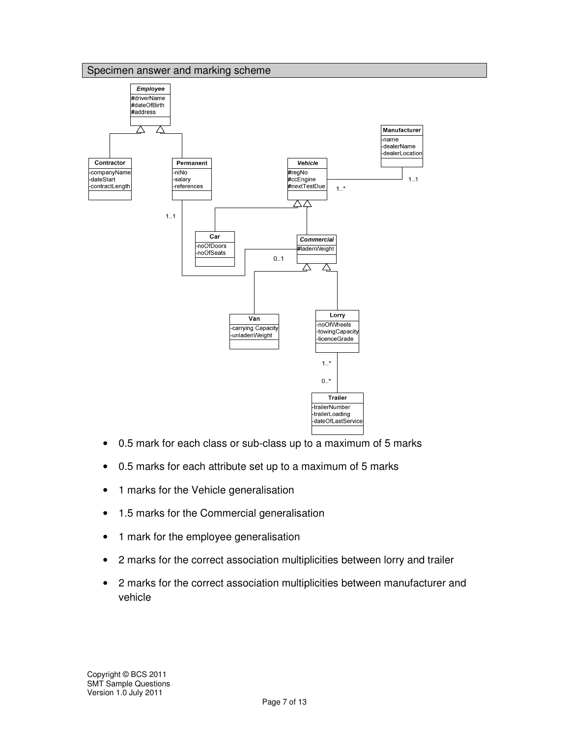

- 0.5 mark for each class or sub-class up to a maximum of 5 marks
- 0.5 marks for each attribute set up to a maximum of 5 marks
- 1 marks for the Vehicle generalisation
- 1.5 marks for the Commercial generalisation
- 1 mark for the employee generalisation
- 2 marks for the correct association multiplicities between lorry and trailer
- 2 marks for the correct association multiplicities between manufacturer and vehicle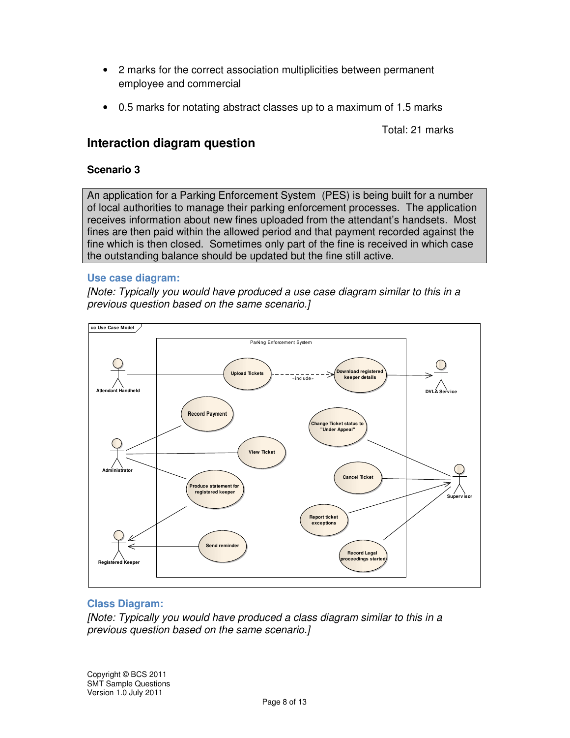- 2 marks for the correct association multiplicities between permanent employee and commercial
- 0.5 marks for notating abstract classes up to a maximum of 1.5 marks

Total: 21 marks

# **Interaction diagram question**

#### **Scenario 3**

An application for a Parking Enforcement System (PES) is being built for a number of local authorities to manage their parking enforcement processes. The application receives information about new fines uploaded from the attendant's handsets. Most fines are then paid within the allowed period and that payment recorded against the fine which is then closed. Sometimes only part of the fine is received in which case the outstanding balance should be updated but the fine still active.

#### **Use case diagram:**

[Note: Typically you would have produced a use case diagram similar to this in a previous question based on the same scenario.]



#### **Class Diagram:**

[Note: Typically you would have produced a class diagram similar to this in a previous question based on the same scenario.]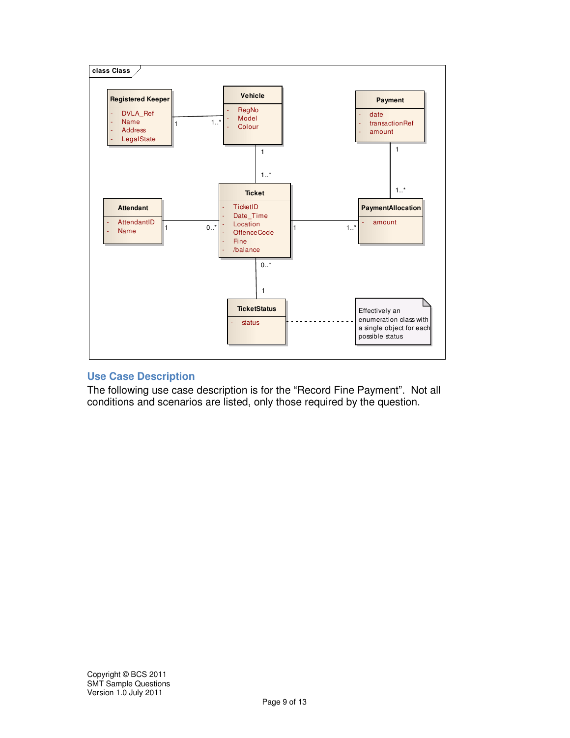

#### **Use Case Description**

The following use case description is for the "Record Fine Payment". Not all conditions and scenarios are listed, only those required by the question.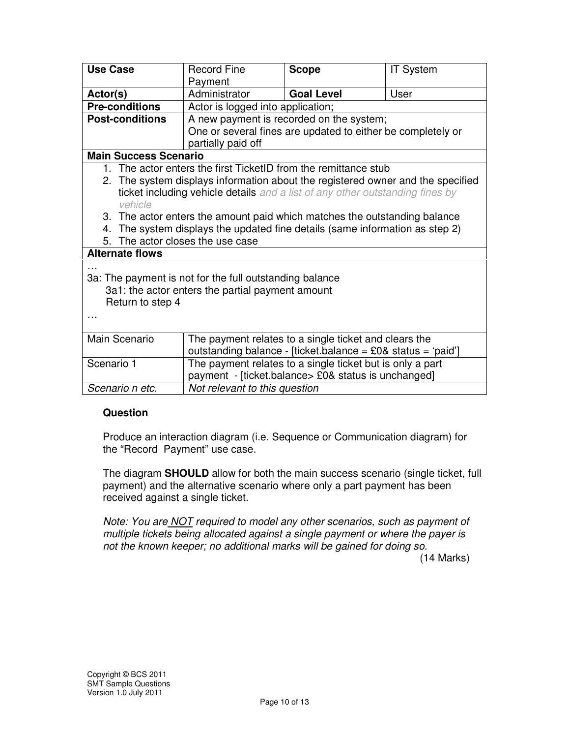| <b>Use Case</b>                                                                 | <b>Record Fine</b>                                                                | <b>Scope</b>                                                   | <b>IT System</b> |  |
|---------------------------------------------------------------------------------|-----------------------------------------------------------------------------------|----------------------------------------------------------------|------------------|--|
|                                                                                 | Payment                                                                           |                                                                |                  |  |
| Actor(s)                                                                        | Administrator                                                                     | <b>Goal Level</b>                                              | User             |  |
| <b>Pre-conditions</b>                                                           | Actor is logged into application;                                                 |                                                                |                  |  |
| <b>Post-conditions</b>                                                          | A new payment is recorded on the system;                                          |                                                                |                  |  |
|                                                                                 | One or several fines are updated to either be completely or<br>partially paid off |                                                                |                  |  |
| <b>Main Success Scenario</b>                                                    |                                                                                   |                                                                |                  |  |
| 1. The actor enters the first TicketID from the remittance stub                 |                                                                                   |                                                                |                  |  |
| 2. The system displays information about the registered owner and the specified |                                                                                   |                                                                |                  |  |
| ticket including vehicle details and a list of any other outstanding fines by   |                                                                                   |                                                                |                  |  |
| vehicle                                                                         |                                                                                   |                                                                |                  |  |
| 3. The actor enters the amount paid which matches the outstanding balance       |                                                                                   |                                                                |                  |  |
|                                                                                 | 4. The system displays the updated fine details (same information as step 2)      |                                                                |                  |  |
| 5. The actor closes the use case                                                |                                                                                   |                                                                |                  |  |
| <b>Alternate flows</b>                                                          |                                                                                   |                                                                |                  |  |
|                                                                                 |                                                                                   |                                                                |                  |  |
| 3a: The payment is not for the full outstanding balance                         |                                                                                   |                                                                |                  |  |
| 3a1: the actor enters the partial payment amount                                |                                                                                   |                                                                |                  |  |
| Return to step 4                                                                |                                                                                   |                                                                |                  |  |
|                                                                                 |                                                                                   |                                                                |                  |  |
|                                                                                 |                                                                                   |                                                                |                  |  |
| Main Scenario                                                                   | The payment relates to a single ticket and clears the                             |                                                                |                  |  |
|                                                                                 |                                                                                   | outstanding balance - [ticket.balance = $£0&$ status = 'paid'] |                  |  |
| Scenario 1                                                                      | The payment relates to a single ticket but is only a part                         |                                                                |                  |  |
|                                                                                 |                                                                                   | payment - [ticket.balance> £0& status is unchanged]            |                  |  |
| Scenario n etc.                                                                 | Not relevant to this question                                                     |                                                                |                  |  |

#### **Question**

Produce an interaction diagram (i.e. Sequence or Communication diagram) for the "Record Payment" use case.

The diagram **SHOULD** allow for both the main success scenario (single ticket, full payment) and the alternative scenario where only a part payment has been received against a single ticket.

Note: You are **NOT** required to model any other scenarios, such as payment of multiple tickets being allocated against a single payment or where the payer is not the known keeper; no additional marks will be gained for doing so.

(14 Marks)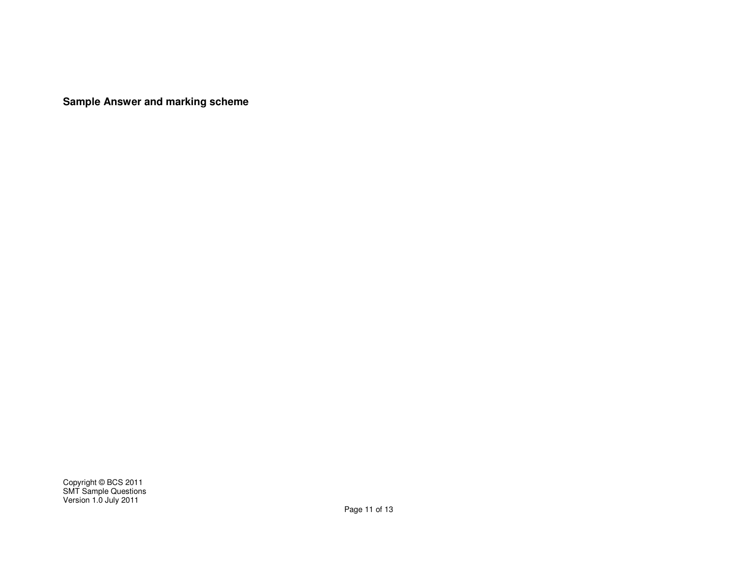**Sample Answer and marking scheme**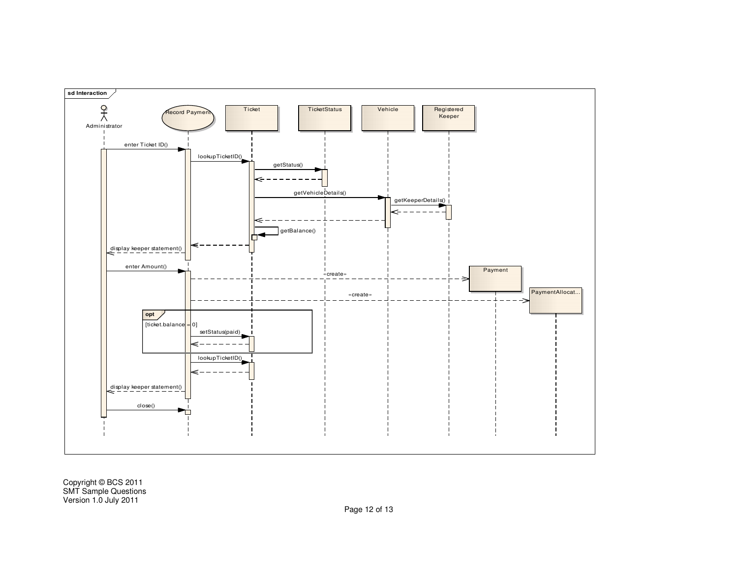

Copyright © BCS 2011 SMT Sample Questions Version 1.0 July 2011